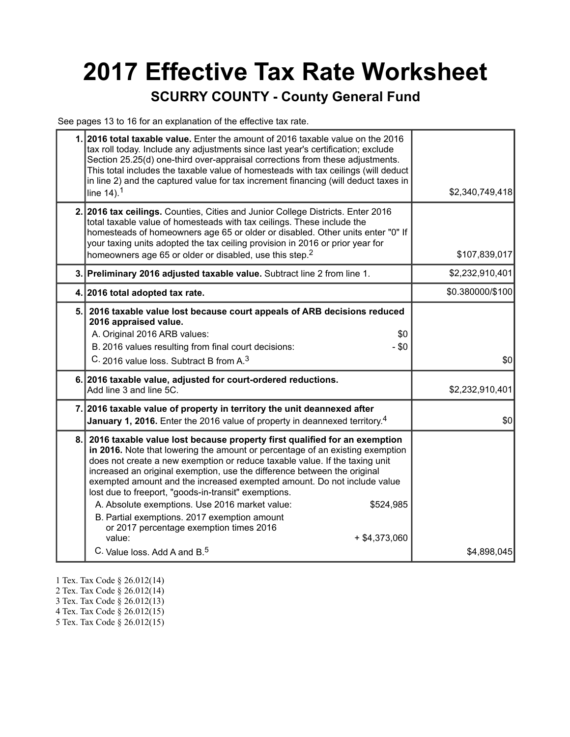# **2017 Effective Tax Rate Worksheet**

#### **SCURRY COUNTY - County General Fund**

See pages 13 to 16 for an explanation of the effective tax rate.

| 1. 2016 total taxable value. Enter the amount of 2016 taxable value on the 2016<br>tax roll today. Include any adjustments since last year's certification; exclude<br>Section 25.25(d) one-third over-appraisal corrections from these adjustments.<br>This total includes the taxable value of homesteads with tax ceilings (will deduct<br>in line 2) and the captured value for tax increment financing (will deduct taxes in<br>line $14$ ). <sup>1</sup>                                                                                                                                                                                                                                 | \$2,340,749,418  |
|------------------------------------------------------------------------------------------------------------------------------------------------------------------------------------------------------------------------------------------------------------------------------------------------------------------------------------------------------------------------------------------------------------------------------------------------------------------------------------------------------------------------------------------------------------------------------------------------------------------------------------------------------------------------------------------------|------------------|
| 2. 2016 tax ceilings. Counties, Cities and Junior College Districts. Enter 2016<br>total taxable value of homesteads with tax ceilings. These include the<br>homesteads of homeowners age 65 or older or disabled. Other units enter "0" If<br>your taxing units adopted the tax ceiling provision in 2016 or prior year for<br>homeowners age 65 or older or disabled, use this step. <sup>2</sup>                                                                                                                                                                                                                                                                                            | \$107,839,017    |
| 3. Preliminary 2016 adjusted taxable value. Subtract line 2 from line 1.                                                                                                                                                                                                                                                                                                                                                                                                                                                                                                                                                                                                                       | \$2,232,910,401  |
| 4. 2016 total adopted tax rate.                                                                                                                                                                                                                                                                                                                                                                                                                                                                                                                                                                                                                                                                | \$0.380000/\$100 |
| 5. 2016 taxable value lost because court appeals of ARB decisions reduced<br>2016 appraised value.<br>A. Original 2016 ARB values:<br>\$0<br>B. 2016 values resulting from final court decisions:<br>$-$ \$0<br>C. 2016 value loss. Subtract B from A. <sup>3</sup>                                                                                                                                                                                                                                                                                                                                                                                                                            | \$0              |
| 6. 2016 taxable value, adjusted for court-ordered reductions.<br>Add line 3 and line 5C.                                                                                                                                                                                                                                                                                                                                                                                                                                                                                                                                                                                                       | \$2,232,910,401  |
| 7. 2016 taxable value of property in territory the unit deannexed after<br><b>January 1, 2016.</b> Enter the 2016 value of property in deannexed territory. <sup>4</sup>                                                                                                                                                                                                                                                                                                                                                                                                                                                                                                                       | \$0              |
| 8. 2016 taxable value lost because property first qualified for an exemption<br>in 2016. Note that lowering the amount or percentage of an existing exemption<br>does not create a new exemption or reduce taxable value. If the taxing unit<br>increased an original exemption, use the difference between the original<br>exempted amount and the increased exempted amount. Do not include value<br>lost due to freeport, "goods-in-transit" exemptions.<br>A. Absolute exemptions. Use 2016 market value:<br>\$524,985<br>B. Partial exemptions. 2017 exemption amount<br>or 2017 percentage exemption times 2016<br>value:<br>$+$ \$4,373,060<br>C. Value loss. Add A and B. <sup>5</sup> | \$4,898,045      |

- 1 Tex. Tax Code § 26.012(14)
- 2 Tex. Tax Code § 26.012(14)
- 3 Tex. Tax Code § 26.012(13)
- 4 Tex. Tax Code § 26.012(15)
- 5 Tex. Tax Code § 26.012(15)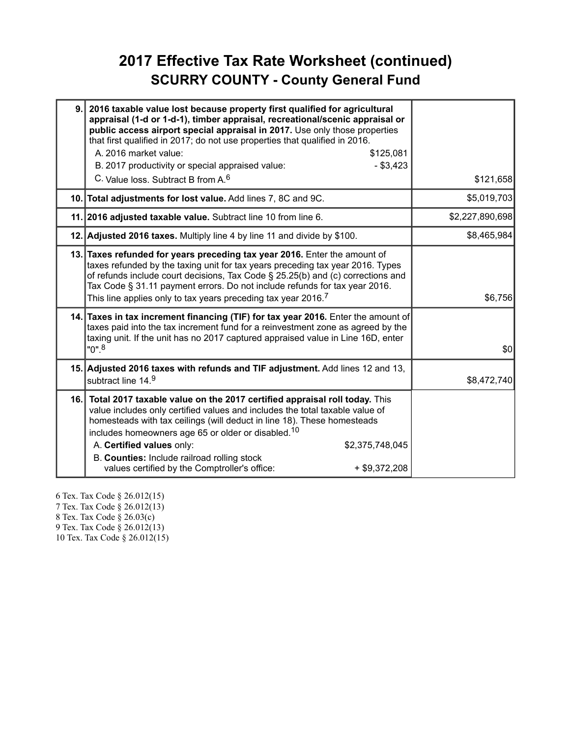#### **2017 Effective Tax Rate Worksheet (continued) SCURRY COUNTY - County General Fund**

| 9. | 2016 taxable value lost because property first qualified for agricultural<br>appraisal (1-d or 1-d-1), timber appraisal, recreational/scenic appraisal or<br>public access airport special appraisal in 2017. Use only those properties<br>that first qualified in 2017; do not use properties that qualified in 2016.<br>A. 2016 market value:<br>\$125,081<br>$-$ \$3,423<br>B. 2017 productivity or special appraised value:<br>C. Value loss, Subtract B from A. <sup>6</sup> | \$121,658       |
|----|-----------------------------------------------------------------------------------------------------------------------------------------------------------------------------------------------------------------------------------------------------------------------------------------------------------------------------------------------------------------------------------------------------------------------------------------------------------------------------------|-----------------|
|    | 10. Total adjustments for lost value. Add lines 7, 8C and 9C.                                                                                                                                                                                                                                                                                                                                                                                                                     | \$5,019,703     |
|    | 11. 2016 adjusted taxable value. Subtract line 10 from line 6.                                                                                                                                                                                                                                                                                                                                                                                                                    | \$2,227,890,698 |
|    | 12. Adjusted 2016 taxes. Multiply line 4 by line 11 and divide by \$100.                                                                                                                                                                                                                                                                                                                                                                                                          | \$8,465,984     |
|    | 13. Taxes refunded for years preceding tax year 2016. Enter the amount of<br>taxes refunded by the taxing unit for tax years preceding tax year 2016. Types<br>of refunds include court decisions, Tax Code § 25.25(b) and (c) corrections and<br>Tax Code § 31.11 payment errors. Do not include refunds for tax year 2016.<br>This line applies only to tax years preceding tax year 2016. <sup>7</sup>                                                                         | \$6,756         |
|    | 14. Taxes in tax increment financing (TIF) for tax year 2016. Enter the amount of<br>taxes paid into the tax increment fund for a reinvestment zone as agreed by the<br>taxing unit. If the unit has no 2017 captured appraised value in Line 16D, enter<br>$"0"$ <sup>8</sup>                                                                                                                                                                                                    | \$0             |
|    | 15. Adjusted 2016 taxes with refunds and TIF adjustment. Add lines 12 and 13,<br>subtract line 14.9                                                                                                                                                                                                                                                                                                                                                                               | \$8,472,740     |
|    | 16. Total 2017 taxable value on the 2017 certified appraisal roll today. This<br>value includes only certified values and includes the total taxable value of<br>homesteads with tax ceilings (will deduct in line 18). These homesteads<br>includes homeowners age 65 or older or disabled. <sup>10</sup><br>A. Certified values only:<br>\$2,375,748,045<br>B. Counties: Include railroad rolling stock<br>values certified by the Comptroller's office:<br>$+$ \$9,372,208     |                 |

6 Tex. Tax Code § 26.012(15) 7 Tex. Tax Code § 26.012(13) 8 Tex. Tax Code § 26.03(c) 9 Tex. Tax Code § 26.012(13) 10 Tex. Tax Code § 26.012(15)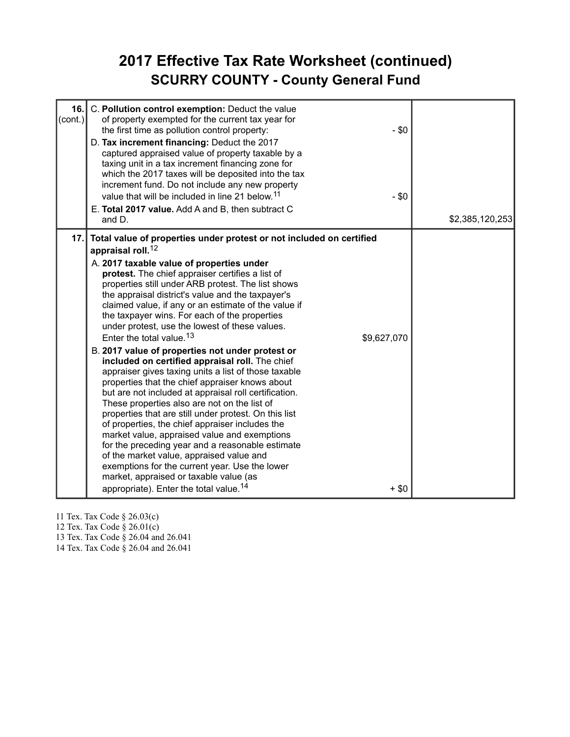#### **2017 Effective Tax Rate Worksheet (continued) SCURRY COUNTY - County General Fund**

| 16.<br>(cont.) | C. Pollution control exemption: Deduct the value<br>of property exempted for the current tax year for<br>the first time as pollution control property:<br>$-$ \$0<br>D. Tax increment financing: Deduct the 2017<br>captured appraised value of property taxable by a<br>taxing unit in a tax increment financing zone for<br>which the 2017 taxes will be deposited into the tax<br>increment fund. Do not include any new property<br>value that will be included in line 21 below. <sup>11</sup><br>$- $0$<br>E. Total 2017 value. Add A and B, then subtract C<br>and D.                                                                                                                                                                                                                                                                                                                                                                                                                                                                                                                                                                                                                                                                                                            | \$2,385,120,253 |
|----------------|-----------------------------------------------------------------------------------------------------------------------------------------------------------------------------------------------------------------------------------------------------------------------------------------------------------------------------------------------------------------------------------------------------------------------------------------------------------------------------------------------------------------------------------------------------------------------------------------------------------------------------------------------------------------------------------------------------------------------------------------------------------------------------------------------------------------------------------------------------------------------------------------------------------------------------------------------------------------------------------------------------------------------------------------------------------------------------------------------------------------------------------------------------------------------------------------------------------------------------------------------------------------------------------------|-----------------|
| 17.1           | Total value of properties under protest or not included on certified<br>appraisal roll. <sup>12</sup><br>A. 2017 taxable value of properties under<br>protest. The chief appraiser certifies a list of<br>properties still under ARB protest. The list shows<br>the appraisal district's value and the taxpayer's<br>claimed value, if any or an estimate of the value if<br>the taxpayer wins. For each of the properties<br>under protest, use the lowest of these values.<br>Enter the total value. <sup>13</sup><br>\$9,627,070<br>B. 2017 value of properties not under protest or<br>included on certified appraisal roll. The chief<br>appraiser gives taxing units a list of those taxable<br>properties that the chief appraiser knows about<br>but are not included at appraisal roll certification.<br>These properties also are not on the list of<br>properties that are still under protest. On this list<br>of properties, the chief appraiser includes the<br>market value, appraised value and exemptions<br>for the preceding year and a reasonable estimate<br>of the market value, appraised value and<br>exemptions for the current year. Use the lower<br>market, appraised or taxable value (as<br>appropriate). Enter the total value. <sup>14</sup><br>$+$ \$0 |                 |

11 Tex. Tax Code § 26.03(c)

12 Tex. Tax Code § 26.01(c)

13 Tex. Tax Code § 26.04 and 26.041

14 Tex. Tax Code § 26.04 and 26.041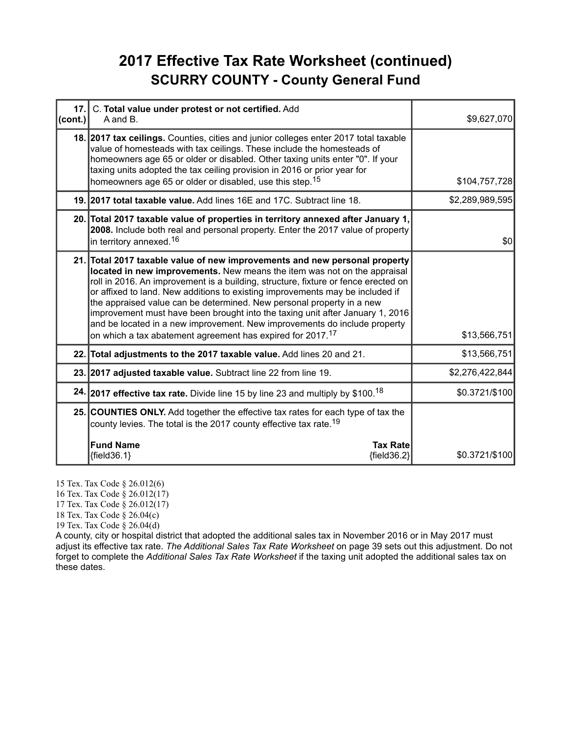#### **2017 Effective Tax Rate Worksheet (continued) SCURRY COUNTY - County General Fund**

| 17.<br>(cont.) | C. Total value under protest or not certified. Add<br>A and B.                                                                                                                                                                                                                                                                                                                                                                                                                                                                                                                                                                     | \$9,627,070     |
|----------------|------------------------------------------------------------------------------------------------------------------------------------------------------------------------------------------------------------------------------------------------------------------------------------------------------------------------------------------------------------------------------------------------------------------------------------------------------------------------------------------------------------------------------------------------------------------------------------------------------------------------------------|-----------------|
|                | 18. 2017 tax ceilings. Counties, cities and junior colleges enter 2017 total taxable<br>value of homesteads with tax ceilings. These include the homesteads of<br>homeowners age 65 or older or disabled. Other taxing units enter "0". If your<br>taxing units adopted the tax ceiling provision in 2016 or prior year for<br>homeowners age 65 or older or disabled, use this step. <sup>15</sup>                                                                                                                                                                                                                                | \$104,757,728   |
|                | 19. 2017 total taxable value. Add lines 16E and 17C. Subtract line 18.                                                                                                                                                                                                                                                                                                                                                                                                                                                                                                                                                             | \$2,289,989,595 |
|                | 20. Total 2017 taxable value of properties in territory annexed after January 1,<br>2008. Include both real and personal property. Enter the 2017 value of property<br>in territory annexed. <sup>16</sup>                                                                                                                                                                                                                                                                                                                                                                                                                         | \$0             |
|                | 21. Total 2017 taxable value of new improvements and new personal property<br>located in new improvements. New means the item was not on the appraisal<br>roll in 2016. An improvement is a building, structure, fixture or fence erected on<br>or affixed to land. New additions to existing improvements may be included if<br>the appraised value can be determined. New personal property in a new<br>improvement must have been brought into the taxing unit after January 1, 2016<br>and be located in a new improvement. New improvements do include property<br>on which a tax abatement agreement has expired for 2017.17 | \$13,566,751    |
|                | 22. Total adjustments to the 2017 taxable value. Add lines 20 and 21.                                                                                                                                                                                                                                                                                                                                                                                                                                                                                                                                                              | \$13,566,751    |
|                | 23. 2017 adjusted taxable value. Subtract line 22 from line 19.                                                                                                                                                                                                                                                                                                                                                                                                                                                                                                                                                                    | \$2,276,422,844 |
|                | 24. 2017 effective tax rate. Divide line 15 by line 23 and multiply by \$100. <sup>18</sup>                                                                                                                                                                                                                                                                                                                                                                                                                                                                                                                                        | \$0.3721/\$100  |
|                | 25. COUNTIES ONLY. Add together the effective tax rates for each type of tax the<br>county levies. The total is the 2017 county effective tax rate. <sup>19</sup>                                                                                                                                                                                                                                                                                                                                                                                                                                                                  |                 |
|                | <b>Fund Name</b><br><b>Tax Rate</b><br>${fields.1}$<br>${field36.2}$                                                                                                                                                                                                                                                                                                                                                                                                                                                                                                                                                               | \$0.3721/\$100  |

15 Tex. Tax Code § 26.012(6)

16 Tex. Tax Code § 26.012(17)

17 Tex. Tax Code § 26.012(17)

18 Tex. Tax Code § 26.04(c)

19 Tex. Tax Code § 26.04(d)

A county, city or hospital district that adopted the additional sales tax in November 2016 or in May 2017 must adjust its effective tax rate. *The Additional Sales Tax Rate Worksheet* on page 39 sets out this adjustment. Do not forget to complete the *Additional Sales Tax Rate Worksheet* if the taxing unit adopted the additional sales tax on these dates.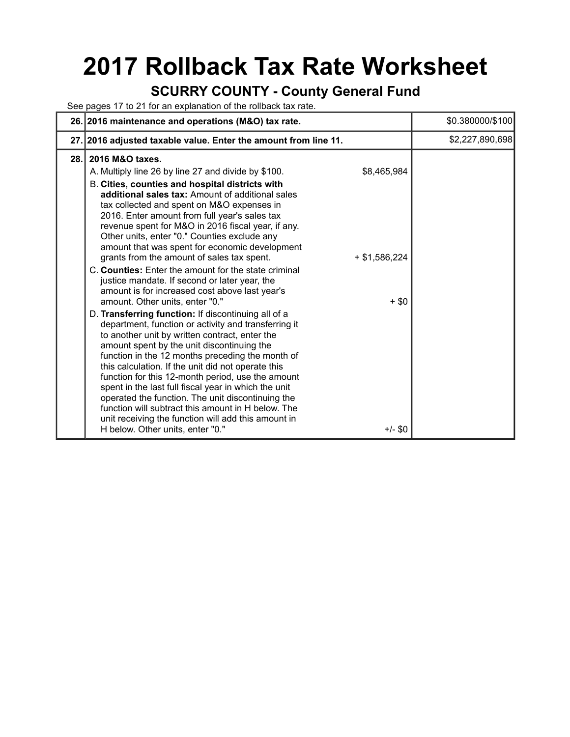## **2017 Rollback Tax Rate Worksheet**

#### **SCURRY COUNTY - County General Fund**

See pages 17 to 21 for an explanation of the rollback tax rate.

|      | 26. 2016 maintenance and operations (M&O) tax rate.                                                                                                                                                                                                                                                                                                                                                                                                                                                                                                                                                                                      |                            | \$0.380000/\$100 |
|------|------------------------------------------------------------------------------------------------------------------------------------------------------------------------------------------------------------------------------------------------------------------------------------------------------------------------------------------------------------------------------------------------------------------------------------------------------------------------------------------------------------------------------------------------------------------------------------------------------------------------------------------|----------------------------|------------------|
| 27.1 | 2016 adjusted taxable value. Enter the amount from line 11.                                                                                                                                                                                                                                                                                                                                                                                                                                                                                                                                                                              |                            | \$2,227,890,698  |
| 28.  | 2016 M&O taxes.<br>A. Multiply line 26 by line 27 and divide by \$100.<br>B. Cities, counties and hospital districts with<br>additional sales tax: Amount of additional sales<br>tax collected and spent on M&O expenses in<br>2016. Enter amount from full year's sales tax<br>revenue spent for M&O in 2016 fiscal year, if any.<br>Other units, enter "0." Counties exclude any<br>amount that was spent for economic development                                                                                                                                                                                                     | \$8,465,984                |                  |
|      | grants from the amount of sales tax spent.<br>C. Counties: Enter the amount for the state criminal<br>justice mandate. If second or later year, the<br>amount is for increased cost above last year's<br>amount. Other units, enter "0."                                                                                                                                                                                                                                                                                                                                                                                                 | $+$ \$1,586,224<br>$+$ \$0 |                  |
|      | D. Transferring function: If discontinuing all of a<br>department, function or activity and transferring it<br>to another unit by written contract, enter the<br>amount spent by the unit discontinuing the<br>function in the 12 months preceding the month of<br>this calculation. If the unit did not operate this<br>function for this 12-month period, use the amount<br>spent in the last full fiscal year in which the unit<br>operated the function. The unit discontinuing the<br>function will subtract this amount in H below. The<br>unit receiving the function will add this amount in<br>H below. Other units, enter "0." | $+/-$ \$0                  |                  |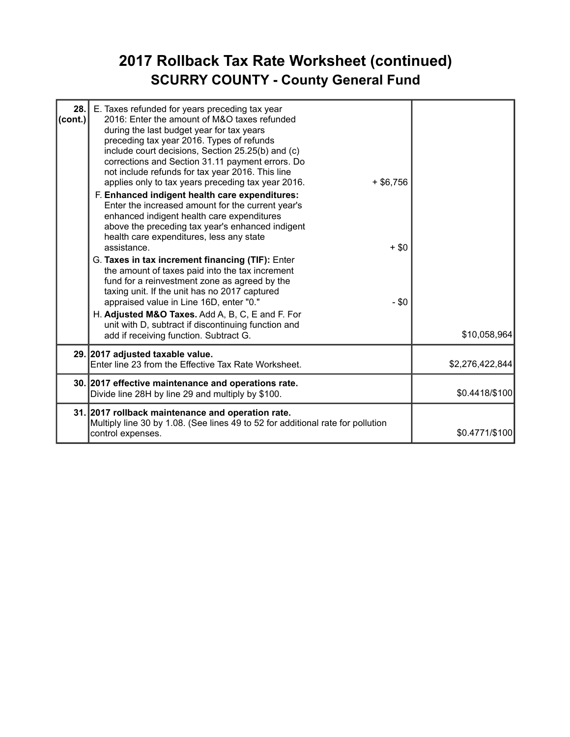### **2017 Rollback Tax Rate Worksheet (continued) SCURRY COUNTY - County General Fund**

| 28.<br>(cont.) | E. Taxes refunded for years preceding tax year<br>2016: Enter the amount of M&O taxes refunded<br>during the last budget year for tax years<br>preceding tax year 2016. Types of refunds<br>include court decisions, Section 25.25(b) and (c)<br>corrections and Section 31.11 payment errors. Do<br>not include refunds for tax year 2016. This line<br>applies only to tax years preceding tax year 2016.<br>$+$ \$6,756<br>F. Enhanced indigent health care expenditures:<br>Enter the increased amount for the current year's<br>enhanced indigent health care expenditures<br>above the preceding tax year's enhanced indigent<br>health care expenditures, less any state<br>assistance.<br>$+$ \$0<br>G. Taxes in tax increment financing (TIF): Enter<br>the amount of taxes paid into the tax increment<br>fund for a reinvestment zone as agreed by the<br>taxing unit. If the unit has no 2017 captured<br>appraised value in Line 16D, enter "0."<br>$-$ \$0<br>H. Adjusted M&O Taxes. Add A, B, C, E and F. For<br>unit with D, subtract if discontinuing function and |                 |
|----------------|-------------------------------------------------------------------------------------------------------------------------------------------------------------------------------------------------------------------------------------------------------------------------------------------------------------------------------------------------------------------------------------------------------------------------------------------------------------------------------------------------------------------------------------------------------------------------------------------------------------------------------------------------------------------------------------------------------------------------------------------------------------------------------------------------------------------------------------------------------------------------------------------------------------------------------------------------------------------------------------------------------------------------------------------------------------------------------------|-----------------|
|                | add if receiving function. Subtract G.                                                                                                                                                                                                                                                                                                                                                                                                                                                                                                                                                                                                                                                                                                                                                                                                                                                                                                                                                                                                                                              | \$10,058,964    |
|                | 29. 2017 adjusted taxable value.<br>Enter line 23 from the Effective Tax Rate Worksheet.                                                                                                                                                                                                                                                                                                                                                                                                                                                                                                                                                                                                                                                                                                                                                                                                                                                                                                                                                                                            | \$2,276,422,844 |
|                | 30. 2017 effective maintenance and operations rate.<br>Divide line 28H by line 29 and multiply by \$100.                                                                                                                                                                                                                                                                                                                                                                                                                                                                                                                                                                                                                                                                                                                                                                                                                                                                                                                                                                            | \$0.4418/\$100  |
|                | 31. 2017 rollback maintenance and operation rate.<br>Multiply line 30 by 1.08. (See lines 49 to 52 for additional rate for pollution<br>control expenses.                                                                                                                                                                                                                                                                                                                                                                                                                                                                                                                                                                                                                                                                                                                                                                                                                                                                                                                           | \$0.4771/\$100  |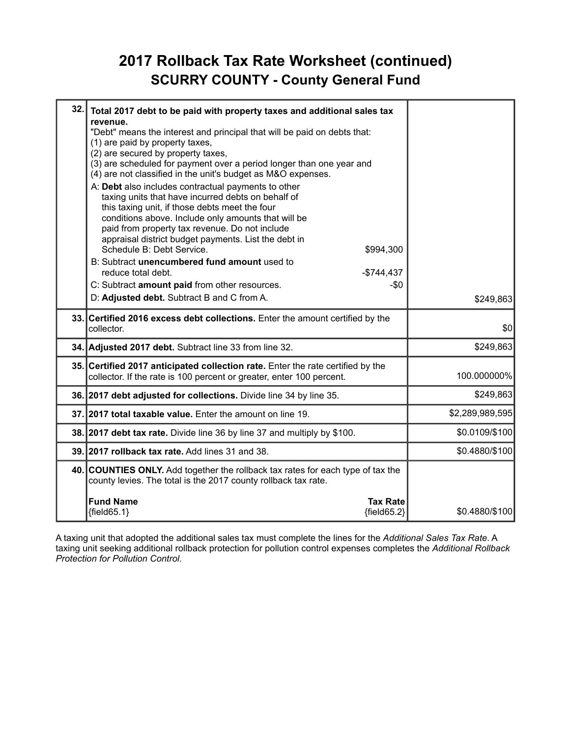#### **2017 Rollback Tax Rate Worksheet (continued) SCURRY COUNTY - County General Fund**

| 32. | Total 2017 debt to be paid with property taxes and additional sales tax<br>revenue.<br>"Debt" means the interest and principal that will be paid on debts that:<br>(1) are paid by property taxes,<br>(2) are secured by property taxes,<br>(3) are scheduled for payment over a period longer than one year and<br>(4) are not classified in the unit's budget as M&O expenses.<br>A: Debt also includes contractual payments to other<br>taxing units that have incurred debts on behalf of<br>this taxing unit, if those debts meet the four<br>conditions above. Include only amounts that will be |                 |
|-----|--------------------------------------------------------------------------------------------------------------------------------------------------------------------------------------------------------------------------------------------------------------------------------------------------------------------------------------------------------------------------------------------------------------------------------------------------------------------------------------------------------------------------------------------------------------------------------------------------------|-----------------|
|     | paid from property tax revenue. Do not include<br>appraisal district budget payments. List the debt in<br>Schedule B: Debt Service.<br>\$994,300<br>B: Subtract unencumbered fund amount used to<br>reduce total debt.<br>$-$744,437$<br>C: Subtract amount paid from other resources.<br>$-\$0$<br>D: Adjusted debt. Subtract B and C from A.                                                                                                                                                                                                                                                         | \$249,863       |
|     | 33. Certified 2016 excess debt collections. Enter the amount certified by the<br>collector.                                                                                                                                                                                                                                                                                                                                                                                                                                                                                                            | \$0             |
|     | 34. Adjusted 2017 debt. Subtract line 33 from line 32.                                                                                                                                                                                                                                                                                                                                                                                                                                                                                                                                                 | \$249,863       |
|     | 35. Certified 2017 anticipated collection rate. Enter the rate certified by the<br>collector. If the rate is 100 percent or greater, enter 100 percent.                                                                                                                                                                                                                                                                                                                                                                                                                                                | 100.000000%     |
|     | 36. 2017 debt adjusted for collections. Divide line 34 by line 35.                                                                                                                                                                                                                                                                                                                                                                                                                                                                                                                                     | \$249,863       |
|     | 37. 2017 total taxable value. Enter the amount on line 19.                                                                                                                                                                                                                                                                                                                                                                                                                                                                                                                                             | \$2,289,989,595 |
|     | 38. 2017 debt tax rate. Divide line 36 by line 37 and multiply by \$100.                                                                                                                                                                                                                                                                                                                                                                                                                                                                                                                               | \$0.0109/\$100  |
|     | 39. 2017 rollback tax rate. Add lines 31 and 38.                                                                                                                                                                                                                                                                                                                                                                                                                                                                                                                                                       | \$0.4880/\$100  |
|     | 40. COUNTIES ONLY. Add together the rollback tax rates for each type of tax the<br>county levies. The total is the 2017 county rollback tax rate.                                                                                                                                                                                                                                                                                                                                                                                                                                                      |                 |
|     | <b>Fund Name</b><br><b>Tax Rate</b><br>${field65.1}$<br>${field65.2}$                                                                                                                                                                                                                                                                                                                                                                                                                                                                                                                                  | \$0.4880/\$100  |

A taxing unit that adopted the additional sales tax must complete the lines for the *Additional Sales Tax Rate*. A taxing unit seeking additional rollback protection for pollution control expenses completes the *Additional Rollback Protection for Pollution Control*.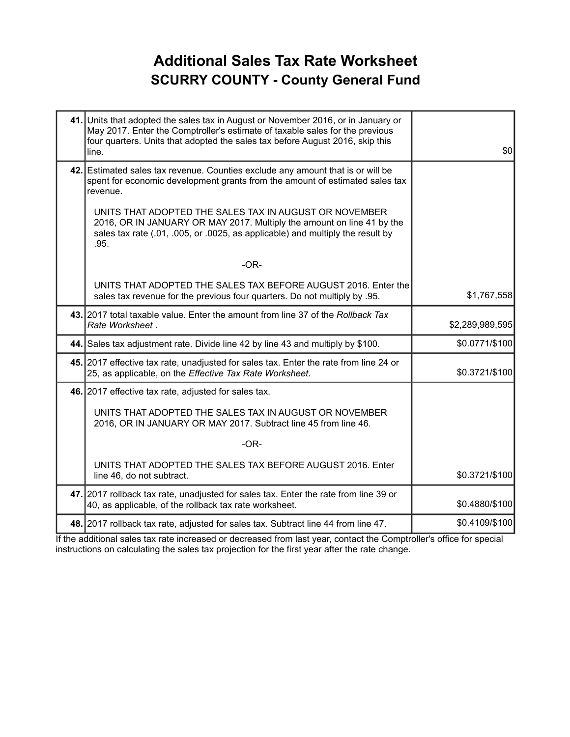#### **Additional Sales Tax Rate Worksheet SCURRY COUNTY - County General Fund**

| 41. Units that adopted the sales tax in August or November 2016, or in January or<br>May 2017. Enter the Comptroller's estimate of taxable sales for the previous<br>four quarters. Units that adopted the sales tax before August 2016, skip this<br>line. | \$0             |
|-------------------------------------------------------------------------------------------------------------------------------------------------------------------------------------------------------------------------------------------------------------|-----------------|
| 42. Estimated sales tax revenue. Counties exclude any amount that is or will be<br>spent for economic development grants from the amount of estimated sales tax<br>revenue.                                                                                 |                 |
| UNITS THAT ADOPTED THE SALES TAX IN AUGUST OR NOVEMBER<br>2016, OR IN JANUARY OR MAY 2017. Multiply the amount on line 41 by the<br>sales tax rate (.01, .005, or .0025, as applicable) and multiply the result by<br>.95.                                  |                 |
| $-OR-$                                                                                                                                                                                                                                                      |                 |
| UNITS THAT ADOPTED THE SALES TAX BEFORE AUGUST 2016. Enter the<br>sales tax revenue for the previous four quarters. Do not multiply by .95.                                                                                                                 | \$1,767,558     |
| 43. 2017 total taxable value. Enter the amount from line 37 of the Rollback Tax<br>Rate Worksheet.                                                                                                                                                          | \$2,289,989,595 |
| 44. Sales tax adjustment rate. Divide line 42 by line 43 and multiply by \$100.                                                                                                                                                                             | \$0.0771/\$100  |
| 45. 2017 effective tax rate, unadjusted for sales tax. Enter the rate from line 24 or<br>25, as applicable, on the Effective Tax Rate Worksheet.                                                                                                            | \$0.3721/\$100  |
| 46. 2017 effective tax rate, adjusted for sales tax.                                                                                                                                                                                                        |                 |
| UNITS THAT ADOPTED THE SALES TAX IN AUGUST OR NOVEMBER<br>2016, OR IN JANUARY OR MAY 2017. Subtract line 45 from line 46.                                                                                                                                   |                 |
| $-OR-$                                                                                                                                                                                                                                                      |                 |
| UNITS THAT ADOPTED THE SALES TAX BEFORE AUGUST 2016. Enter<br>line 46, do not subtract.                                                                                                                                                                     | \$0.3721/\$100  |
| 47. 2017 rollback tax rate, unadjusted for sales tax. Enter the rate from line 39 or<br>40, as applicable, of the rollback tax rate worksheet.                                                                                                              | \$0.4880/\$100  |
| 48. 2017 rollback tax rate, adjusted for sales tax. Subtract line 44 from line 47.                                                                                                                                                                          | \$0.4109/\$100  |

If the additional sales tax rate increased or decreased from last year, contact the Comptroller's office for special instructions on calculating the sales tax projection for the first year after the rate change.